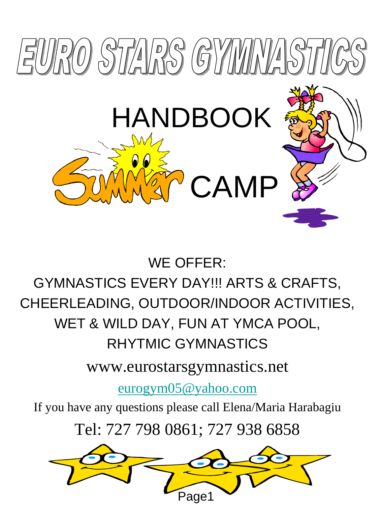

#### WE OFFER:

## GYMNASTICS EVERY DAY!!! ARTS & CRAFTS, CHEERLEADING, OUTDOOR/INDOOR ACTIVITIES, WET & WILD DAY, FUN AT YMCA POOL, RHYTMIC GYMNASTICS

www.eurostarsgymnastics.net

[eurogym05@yahoo.com](mailto:eurogym05@yahoo.com)

If you have any questions please call Elena/Maria Harabagiu

Tel: 727 798 0861; 727 938 6858

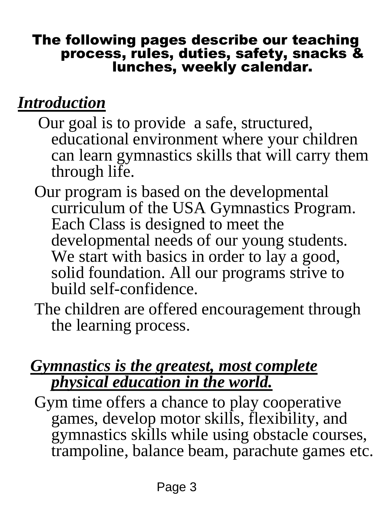#### The following pages describe our teaching process, rules, duties, safety, snacks & lunches, weekly calendar.

### *Introduction*

- Our goal is to provide a safe, structured, educational environment where your children can learn gymnastics skills that will carry them through life.
- Our program is based on the developmental curriculum of the USA Gymnastics Program. Each Class is designed to meet the developmental needs of our young students. We start with basics in order to lay a good, solid foundation. All our programs strive to build self-confidence.
- The children are offered encouragement through the learning process.

#### *Gymnastics is the greatest, most complete physical education in the world.*

 Gym time offers a chance to play cooperative games, develop motor skills, flexibility, and gymnastics skills while using obstacle courses, trampoline, balance beam, parachute games etc.